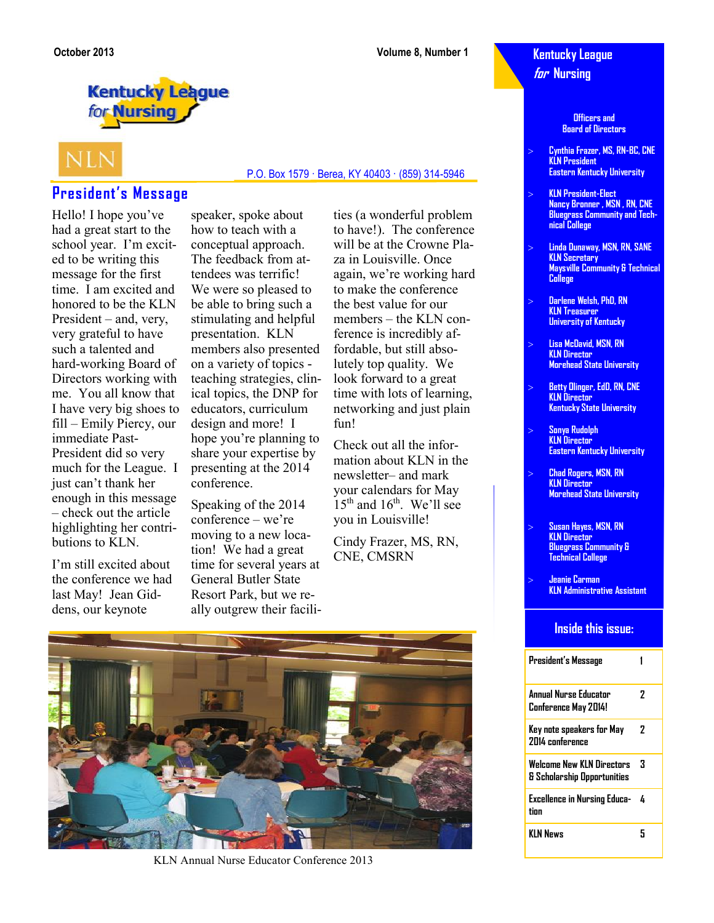## **Kentucky League for Nursing**

**Officers and Board of Directors**

- **Cynthia Frazer, MS, RN-BC, CNE KLN President Eastern Kentucky University**
- **KLN President-Elect Nancy Bronner , MSN , RN, CNE Bluegrass Community and Technical College**
- **Linda Dunaway, MSN, RN, SANE KLN Secretary Maysville Community & Technical College**
- **Darlene Welsh, PhD, RN KLN Treasurer University of Kentucky**
- **Lisa McDavid, MSN, RN KLN Director Morehead State University**
- **Betty Olinger, EdD, RN, CNE KLN Director Kentucky State University**
- **Sonya Rudolph KLN Director Eastern Kentucky University**
- **Chad Rogers, MSN, RN KLN Director Morehead State University**
- **Susan Hayes, MSN, RN KLN Director Bluegrass Community & Technical College**
- **Jeanie Carman KLN Administrative Assistant**

### **Inside this issue:**

| President's Message                                      |   |
|----------------------------------------------------------|---|
| Annual Nurse Educator<br>Conference May 2014!            | 7 |
| Key note speakers for May<br><b>2014 conference</b>      | 7 |
| Welcome New KIN Directors<br>& Scholarship Opportunities | з |
| Excellence in Nursing Educa-<br>tion                     | 4 |
| KIN News                                                 | 5 |

**Kentucky League** for Nursing



# **President's Message**

Hello! I hope you've had a great start to the school year. I'm excited to be writing this message for the first time. I am excited and honored to be the KLN President – and, very, very grateful to have such a talented and hard-working Board of Directors working with me. You all know that I have very big shoes to fill – Emily Piercy, our immediate Past-President did so very much for the League. I just can't thank her enough in this message – check out the article highlighting her contributions to KLN.

I'm still excited about the conference we had last May! Jean Giddens, our keynote

speaker, spoke about how to teach with a conceptual approach. The feedback from attendees was terrific! We were so pleased to be able to bring such a stimulating and helpful presentation. KLN members also presented on a variety of topics teaching strategies, clinical topics, the DNP for educators, curriculum design and more! I hope you're planning to share your expertise by presenting at the 2014 conference.

Speaking of the 2014 conference – we're moving to a new location! We had a great time for several years at General Butler State Resort Park, but we really outgrew their facilities (a wonderful problem to have!). The conference will be at the Crowne Plaza in Louisville. Once again, we're working hard to make the conference the best value for our members – the KLN conference is incredibly affordable, but still absolutely top quality. We look forward to a great time with lots of learning, networking and just plain fun!

P.O. Box 1579 · Berea, KY 40403 · (859) 314-5946

Check out all the information about KLN in the newsletter– and mark your calendars for May  $15<sup>th</sup>$  and  $16<sup>th</sup>$ . We'll see you in Louisville!

Cindy Frazer, MS, RN, CNE, CMSRN



KLN Annual Nurse Educator Conference 2013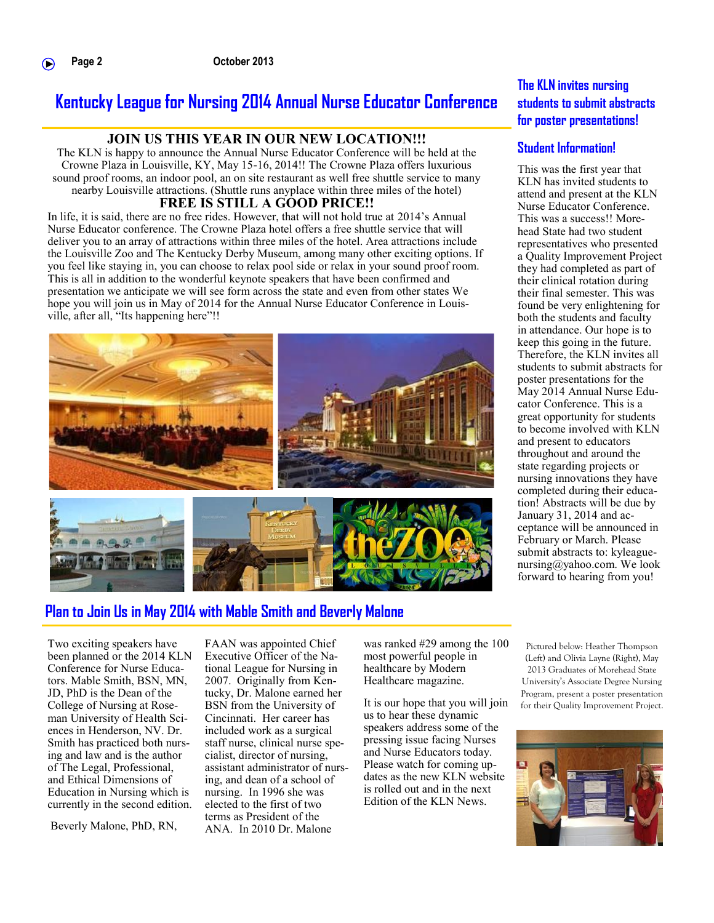# **Kentucky League for Nursing 2014 Annual Nurse Educator Conference**

### **JOIN US THIS YEAR IN OUR NEW LOCATION!!!**

The KLN is happy to announce the Annual Nurse Educator Conference will be held at the Crowne Plaza in Louisville, KY, May 15-16, 2014!! The Crowne Plaza offers luxurious sound proof rooms, an indoor pool, an on site restaurant as well free shuttle service to many nearby Louisville attractions. (Shuttle runs anyplace within three miles of the hotel)

### **FREE IS STILL A GOOD PRICE!!**

In life, it is said, there are no free rides. However, that will not hold true at 2014's Annual Nurse Educator conference. The Crowne Plaza hotel offers a free shuttle service that will deliver you to an array of attractions within three miles of the hotel. Area attractions include the Louisville Zoo and The Kentucky Derby Museum, among many other exciting options. If you feel like staying in, you can choose to relax pool side or relax in your sound proof room. This is all in addition to the wonderful keynote speakers that have been confirmed and presentation we anticipate we will see form across the state and even from other states We hope you will join us in May of 2014 for the Annual Nurse Educator Conference in Louisville, after all, "Its happening here"!!





# **Plan to Join Us in May 2014 with Mable Smith and Beverly Malone**

Two exciting speakers have been planned or the 2014 KLN Conference for Nurse Educators. Mable Smith, BSN, MN, JD, PhD is the Dean of the College of Nursing at Roseman University of Health Sciences in Henderson, NV. Dr. Smith has practiced both nursing and law and is the author of The Legal, Professional, and Ethical Dimensions of Education in Nursing which is currently in the second edition.

Beverly Malone, PhD, RN,

FAAN was appointed Chief Executive Officer of the National League for Nursing in 2007. Originally from Kentucky, Dr. Malone earned her BSN from the University of Cincinnati. Her career has included work as a surgical staff nurse, clinical nurse specialist, director of nursing, assistant administrator of nursing, and dean of a school of nursing. In 1996 she was elected to the first of two terms as President of the ANA. In 2010 Dr. Malone

was ranked #29 among the 100 most powerful people in healthcare by Modern Healthcare magazine.

It is our hope that you will join us to hear these dynamic speakers address some of the pressing issue facing Nurses and Nurse Educators today. Please watch for coming updates as the new KLN website is rolled out and in the next Edition of the KLN News.

### **The KLN invites nursing students to submit abstracts for poster presentations!**

### **Student Information!**

This was the first year that KLN has invited students to attend and present at the KLN Nurse Educator Conference. This was a success!! Morehead State had two student representatives who presented a Quality Improvement Project they had completed as part of their clinical rotation during their final semester. This was found be very enlightening for both the students and faculty in attendance. Our hope is to keep this going in the future. Therefore, the KLN invites all students to submit abstracts for poster presentations for the May 2014 Annual Nurse Educator Conference. This is a great opportunity for students to become involved with KLN and present to educators throughout and around the state regarding projects or nursing innovations they have completed during their education! Abstracts will be due by January 31, 2014 and acceptance will be announced in February or March. Please submit abstracts to: kyleaguenursing@yahoo.com. We look forward to hearing from you!

Pictured below: Heather Thompson (Left) and Olivia Layne (Right), May 2013 Graduates of Morehead State University's Associate Degree Nursing Program, present a poster presentation for their Quality Improvement Project.

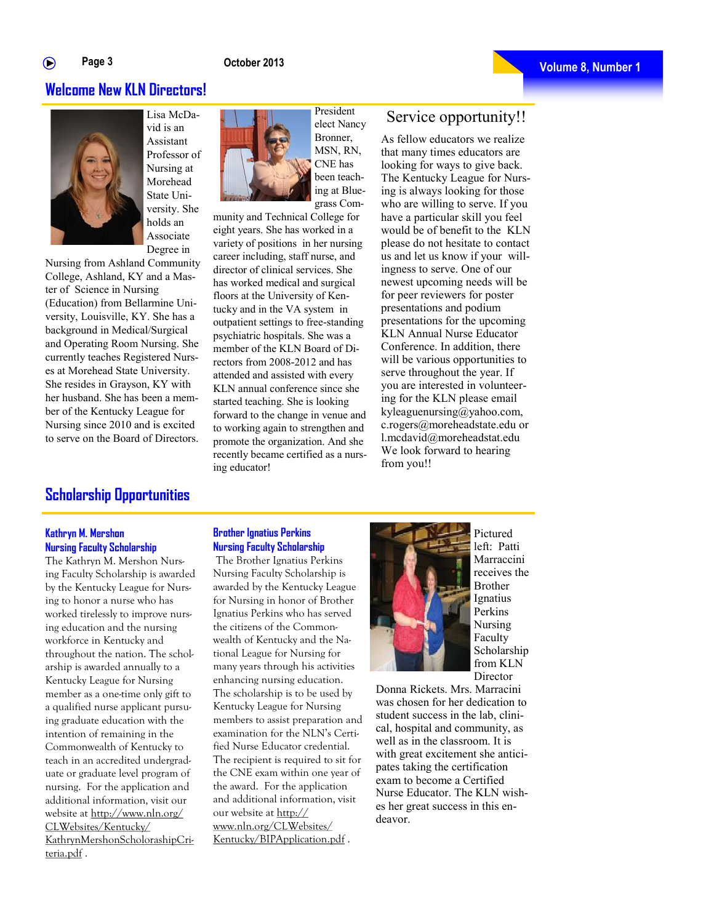### **Welcome New KLN Directors!**



vid is an Assistant Professor of Nursing at Morehead State University. She holds an Associate Degree in

Nursing from Ashland Community College, Ashland, KY and a Master of Science in Nursing (Education) from Bellarmine University, Louisville, KY. She has a background in Medical/Surgical and Operating Room Nursing. She currently teaches Registered Nurses at Morehead State University. She resides in Grayson, KY with her husband. She has been a member of the Kentucky League for Nursing since 2010 and is excited to serve on the Board of Directors.

President elect Nancy Bronner, MSN, RN, CNE has been teaching at Bluegrass Com-

munity and Technical College for eight years. She has worked in a variety of positions in her nursing career including, staff nurse, and director of clinical services. She has worked medical and surgical floors at the University of Kentucky and in the VA system in outpatient settings to free-standing psychiatric hospitals. She was a member of the KLN Board of Directors from 2008-2012 and has attended and assisted with every KLN annual conference since she started teaching. She is looking forward to the change in venue and to working again to strengthen and promote the organization. And she recently became certified as a nursing educator!

# Service opportunity!!

As fellow educators we realize that many times educators are looking for ways to give back. The Kentucky League for Nursing is always looking for those who are willing to serve. If you have a particular skill you feel would be of benefit to the KLN please do not hesitate to contact us and let us know if your willingness to serve. One of our newest upcoming needs will be for peer reviewers for poster presentations and podium presentations for the upcoming KLN Annual Nurse Educator Conference. In addition, there will be various opportunities to serve throughout the year. If you are interested in volunteering for the KLN please email kyleaguenursing@yahoo.com, c.rogers@moreheadstate.edu or l.mcdavid@moreheadstat.edu We look forward to hearing from you!!

## **Scholarship Opportunities**

### **Kathryn M. Mershon Nursing Faculty Scholarship**

The Kathryn M. Mershon Nursing Faculty Scholarship is awarded by the Kentucky League for Nursing to honor a nurse who has worked tirelessly to improve nursing education and the nursing workforce in Kentucky and throughout the nation. The scholarship is awarded annually to a Kentucky League for Nursing member as a one-time only gift to a qualified nurse applicant pursuing graduate education with the intention of remaining in the Commonwealth of Kentucky to teach in an accredited undergraduate or graduate level program of nursing. For the application and additional information, visit our website at http://www.nln.org/ CLWebsites/Kentucky/ KathrynMershonScholorashipCriteria.pdf .

**Brother Ignatius Perkins Nursing Faculty Scholarship**

The Brother Ignatius Perkins Nursing Faculty Scholarship is awarded by the Kentucky League for Nursing in honor of Brother Ignatius Perkins who has served the citizens of the Commonwealth of Kentucky and the National League for Nursing for many years through his activities enhancing nursing education. The scholarship is to be used by Kentucky League for Nursing members to assist preparation and examination for the NLN's Certified Nurse Educator credential. The recipient is required to sit for the CNE exam within one year of the award. For the application and additional information, visit our website at http:// www.nln.org/CLWebsites/ Kentucky/BIPApplication.pdf .



Pictured left: Patti Marraccini receives the Brother Ignatius Perkins Nursing Faculty Scholarship from KLN **Director** 

Donna Rickets. Mrs. Marracini was chosen for her dedication to student success in the lab, clinical, hospital and community, as well as in the classroom. It is with great excitement she anticipates taking the certification exam to become a Certified Nurse Educator. The KLN wishes her great success in this endeavor.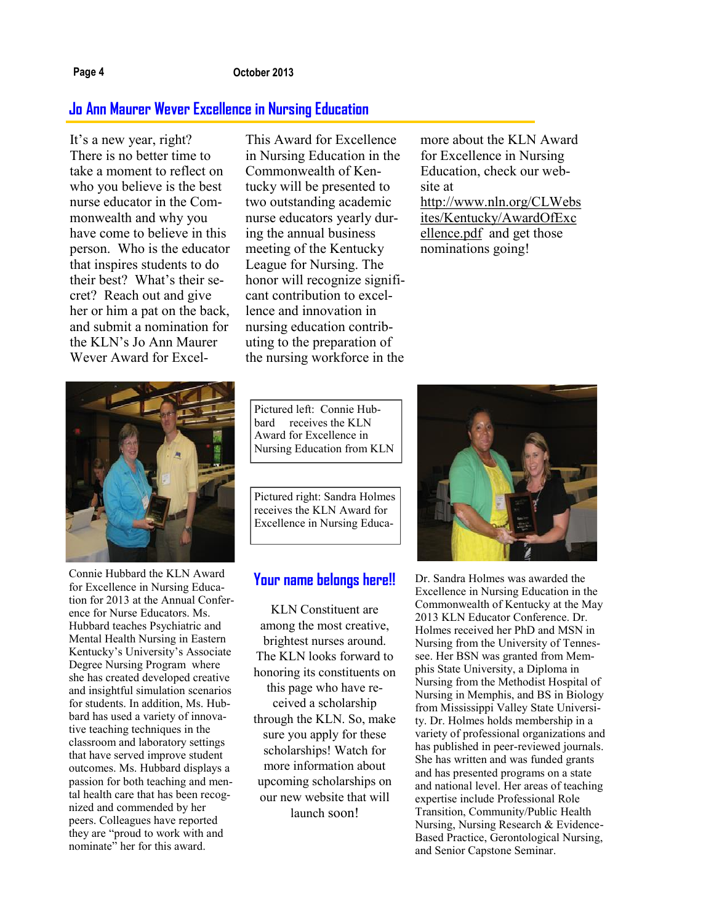### **Page 4 October 2013**

### **Jo Ann Maurer Wever Excellence in Nursing Education**

It's a new year, right? There is no better time to take a moment to reflect on who you believe is the best nurse educator in the Commonwealth and why you have come to believe in this person. Who is the educator that inspires students to do their best? What's their secret? Reach out and give her or him a pat on the back, and submit a nomination for the KLN's Jo Ann Maurer Wever Award for ExcelThis Award for Excellence in Nursing Education in the Commonwealth of Kentucky will be presented to two outstanding academic nurse educators yearly during the annual business meeting of the Kentucky League for Nursing. The honor will recognize significant contribution to excellence and innovation in nursing education contributing to the preparation of the nursing workforce in the

more about the KLN Award for Excellence in Nursing Education, check our website at [http://www.nln.org/CLWebs](http://www.nln.org/CLWebsites/Kentucky/AwardOfExcellence.pdf) [ites/Kentucky/AwardOfExc](http://www.nln.org/CLWebsites/Kentucky/AwardOfExcellence.pdf) [ellence.pdf](http://www.nln.org/CLWebsites/Kentucky/AwardOfExcellence.pdf) and get those nominations going!



Connie Hubbard the KLN Award for Excellence in Nursing Education for 2013 at the Annual Conference for Nurse Educators. Ms. Hubbard teaches Psychiatric and Mental Health Nursing in Eastern Kentucky's University's Associate Degree Nursing Program where she has created developed creative and insightful simulation scenarios for students. In addition, Ms. Hubbard has used a variety of innovative teaching techniques in the classroom and laboratory settings that have served improve student outcomes. Ms. Hubbard displays a passion for both teaching and mental health care that has been recognized and commended by her peers. Colleagues have reported they are "proud to work with and nominate" her for this award.

Pictured left: Connie Hubbard receives the KLN Award for Excellence in Nursing Education from KLN

Pictured right: Sandra Holmes receives the KLN Award for Excellence in Nursing Educa-

### **Your name belongs here!!**

KLN Constituent are among the most creative, brightest nurses around. The KLN looks forward to honoring its constituents on this page who have received a scholarship through the KLN. So, make sure you apply for these scholarships! Watch for more information about upcoming scholarships on our new website that will launch soon!



Dr. Sandra Holmes was awarded the Excellence in Nursing Education in the Commonwealth of Kentucky at the May 2013 KLN Educator Conference. Dr. Holmes received her PhD and MSN in Nursing from the University of Tennessee. Her BSN was granted from Memphis State University, a Diploma in Nursing from the Methodist Hospital of Nursing in Memphis, and BS in Biology from Mississippi Valley State University. Dr. Holmes holds membership in a variety of professional organizations and has published in peer-reviewed journals. She has written and was funded grants and has presented programs on a state and national level. Her areas of teaching expertise include Professional Role Transition, Community/Public Health Nursing, Nursing Research & Evidence-Based Practice, Gerontological Nursing, and Senior Capstone Seminar.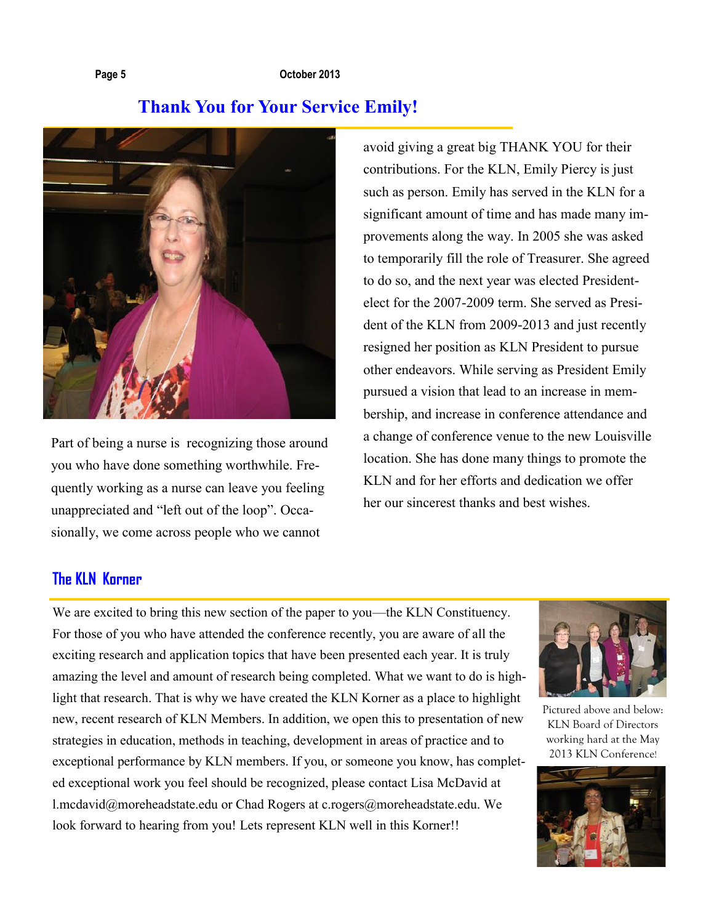### **Page 5 October 2013**

# **Thank You for Your Service Emily!**



Part of being a nurse is recognizing those around you who have done something worthwhile. Frequently working as a nurse can leave you feeling unappreciated and "left out of the loop". Occasionally, we come across people who we cannot

avoid giving a great big THANK YOU for their contributions. For the KLN, Emily Piercy is just such as person. Emily has served in the KLN for a significant amount of time and has made many improvements along the way. In 2005 she was asked to temporarily fill the role of Treasurer. She agreed to do so, and the next year was elected Presidentelect for the 2007-2009 term. She served as President of the KLN from 2009-2013 and just recently resigned her position as KLN President to pursue other endeavors. While serving as President Emily pursued a vision that lead to an increase in membership, and increase in conference attendance and a change of conference venue to the new Louisville location. She has done many things to promote the KLN and for her efforts and dedication we offer her our sincerest thanks and best wishes.

# **The KLN Korner**

We are excited to bring this new section of the paper to you—the KLN Constituency. For those of you who have attended the conference recently, you are aware of all the exciting research and application topics that have been presented each year. It is truly amazing the level and amount of research being completed. What we want to do is highlight that research. That is why we have created the KLN Korner as a place to highlight new, recent research of KLN Members. In addition, we open this to presentation of new strategies in education, methods in teaching, development in areas of practice and to exceptional performance by KLN members. If you, or someone you know, has completed exceptional work you feel should be recognized, please contact Lisa McDavid at l.mcdavid@moreheadstate.edu or Chad Rogers at c.rogers@moreheadstate.edu. We look forward to hearing from you! Lets represent KLN well in this Korner!!



Pictured above and below: KLN Board of Directors working hard at the May 2013 KLN Conference!